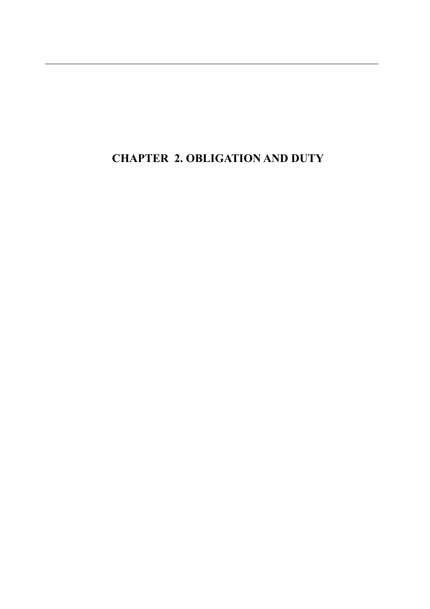**CHAPTER 2. OBLIGATION AND DUTY**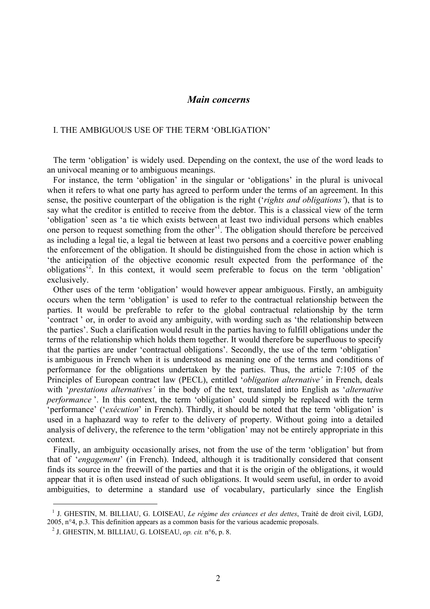## *Main concerns*

#### I. THE AMBIGUOUS USE OF THE TERM 'OBLIGATION'

The term 'obligation' is widely used. Depending on the context, the use of the word leads to an univocal meaning or to ambiguous meanings.

For instance, the term 'obligation' in the singular or 'obligations' in the plural is univocal when it refers to what one party has agreed to perform under the terms of an agreement. In this sense, the positive counterpart of the obligation is the right ('*rights and obligations'*), that is to say what the creditor is entitled to receive from the debtor. This is a classical view of the term 'obligation' seen as 'a tie which exists between at least two individual persons which enables one person to request something from the other<sup>1</sup>. The obligation should therefore be perceived as including a legal tie, a legal tie between at least two persons and a coercitive power enabling the enforcement of the obligation. It should be distinguished from the chose in action which is 'the anticipation of the objective economic result expected from the performance of the obligations'2 . In this context, it would seem preferable to focus on the term 'obligation' exclusively.

Other uses of the term 'obligation' would however appear ambiguous. Firstly, an ambiguity occurs when the term 'obligation' is used to refer to the contractual relationship between the parties. It would be preferable to refer to the global contractual relationship by the term 'contract ' or, in order to avoid any ambiguity, with wording such as 'the relationship between the parties'. Such a clarification would result in the parties having to fulfill obligations under the terms of the relationship which holds them together. It would therefore be superfluous to specify that the parties are under 'contractual obligations'. Secondly, the use of the term 'obligation' is ambiguous in French when it is understood as meaning one of the terms and conditions of performance for the obligations undertaken by the parties. Thus, the article 7:105 of the Principles of European contract law (PECL), entitled '*obligation alternative'* in French, deals with '*prestations alternatives'* in the body of the text, translated into English as '*alternative performance*  $\dot{\phantom{\phi}}$ . In this context, the term 'obligation' could simply be replaced with the term 'performance' ('*exécution*' in French). Thirdly, it should be noted that the term 'obligation' is used in a haphazard way to refer to the delivery of property. Without going into a detailed analysis of delivery, the reference to the term 'obligation' may not be entirely appropriate in this context.

Finally, an ambiguity occasionally arises, not from the use of the term 'obligation' but from that of '*engagement*' (in French). Indeed, although it is traditionally considered that consent finds its source in the freewill of the parties and that it is the origin of the obligations, it would appear that it is often used instead of such obligations. It would seem useful, in order to avoid ambiguities, to determine a standard use of vocabulary, particularly since the English

<sup>&</sup>lt;sup>1</sup> J. GHESTIN, M. BILLIAU, G. LOISEAU, *Le régime des créances et des dettes*, Traité de droit civil, LGDJ, 2005, n°4, p.3. This definition appears as a common basis for the various academic proposals. 2

<sup>&</sup>lt;sup>2</sup> J. GHESTIN, M. BILLIAU, G. LOISEAU, *op. cit.* n°6, p. 8.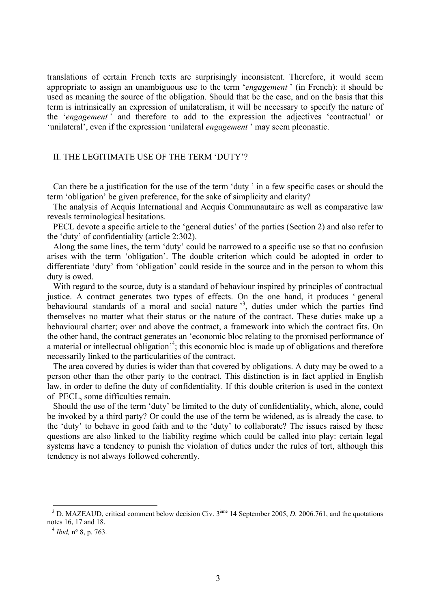translations of certain French texts are surprisingly inconsistent. Therefore, it would seem appropriate to assign an unambiguous use to the term '*engagement* ' (in French): it should be used as meaning the source of the obligation. Should that be the case, and on the basis that this term is intrinsically an expression of unilateralism, it will be necessary to specify the nature of the '*engagement* ' and therefore to add to the expression the adjectives 'contractual' or 'unilateral', even if the expression 'unilateral *engagement* ' may seem pleonastic.

## II. THE LEGITIMATE USE OF THE TERM 'DUTY'?

Can there be a justification for the use of the term 'duty ' in a few specific cases or should the term 'obligation' be given preference, for the sake of simplicity and clarity?

The analysis of Acquis International and Acquis Communautaire as well as comparative law reveals terminological hesitations.

PECL devote a specific article to the 'general duties' of the parties (Section 2) and also refer to the 'duty' of confidentiality (article 2:302).

Along the same lines, the term 'duty' could be narrowed to a specific use so that no confusion arises with the term 'obligation'. The double criterion which could be adopted in order to differentiate 'duty' from 'obligation' could reside in the source and in the person to whom this duty is owed.

With regard to the source, duty is a standard of behaviour inspired by principles of contractual justice. A contract generates two types of effects. On the one hand, it produces ' general behavioural standards of a moral and social nature<sup>3</sup>, duties under which the parties find themselves no matter what their status or the nature of the contract. These duties make up a behavioural charter; over and above the contract, a framework into which the contract fits. On the other hand, the contract generates an 'economic bloc relating to the promised performance of a material or intellectual obligation<sup>34</sup>; this economic bloc is made up of obligations and therefore necessarily linked to the particularities of the contract.

The area covered by duties is wider than that covered by obligations. A duty may be owed to a person other than the other party to the contract. This distinction is in fact applied in English law, in order to define the duty of confidentiality. If this double criterion is used in the context of PECL, some difficulties remain.

Should the use of the term 'duty' be limited to the duty of confidentiality, which, alone, could be invoked by a third party? Or could the use of the term be widened, as is already the case, to the 'duty' to behave in good faith and to the 'duty' to collaborate? The issues raised by these questions are also linked to the liability regime which could be called into play: certain legal systems have a tendency to punish the violation of duties under the rules of tort, although this tendency is not always followed coherently.

<sup>&</sup>lt;sup>3</sup> D. MAZEAUD, critical comment below decision Civ. 3<sup>ème</sup> 14 September 2005, *D.* 2006.761, and the quotations notes 16, 17 and 18.

<sup>4</sup> *Ibid,* n° 8, p. 763.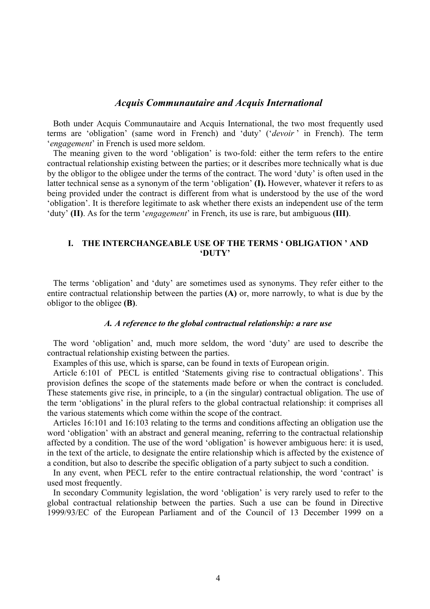### *Acquis Communautaire and Acquis International*

Both under Acquis Communautaire and Acquis International, the two most frequently used terms are 'obligation' (same word in French) and 'duty' ('*devoir* ' in French). The term '*engagement*' in French is used more seldom.

The meaning given to the word 'obligation' is two-fold: either the term refers to the entire contractual relationship existing between the parties; or it describes more technically what is due by the obligor to the obligee under the terms of the contract. The word 'duty' is often used in the latter technical sense as a synonym of the term 'obligation' **(I).** However, whatever it refers to as being provided under the contract is different from what is understood by the use of the word 'obligation'. It is therefore legitimate to ask whether there exists an independent use of the term 'duty' **(II)**. As for the term '*engagement*' in French, its use is rare, but ambiguous **(III)**.

## **I. THE INTERCHANGEABLE USE OF THE TERMS ' OBLIGATION ' AND 'DUTY'**

The terms 'obligation' and 'duty' are sometimes used as synonyms. They refer either to the entire contractual relationship between the parties **(A)** or, more narrowly, to what is due by the obligor to the obligee **(B)**.

#### *A. A reference to the global contractual relationship: a rare use*

The word 'obligation' and, much more seldom, the word 'duty' are used to describe the contractual relationship existing between the parties.

Examples of this use, which is sparse, can be found in texts of European origin.

Article 6:101 of PECL is entitled 'Statements giving rise to contractual obligations'. This provision defines the scope of the statements made before or when the contract is concluded. These statements give rise, in principle, to a (in the singular) contractual obligation. The use of the term 'obligations' in the plural refers to the global contractual relationship: it comprises all the various statements which come within the scope of the contract.

Articles 16:101 and 16:103 relating to the terms and conditions affecting an obligation use the word 'obligation' with an abstract and general meaning, referring to the contractual relationship affected by a condition. The use of the word 'obligation' is however ambiguous here: it is used, in the text of the article, to designate the entire relationship which is affected by the existence of a condition, but also to describe the specific obligation of a party subject to such a condition.

In any event, when PECL refer to the entire contractual relationship, the word 'contract' is used most frequently.

In secondary Community legislation, the word 'obligation' is very rarely used to refer to the global contractual relationship between the parties. Such a use can be found in Directive 1999/93/EC of the European Parliament and of the Council of 13 December 1999 on a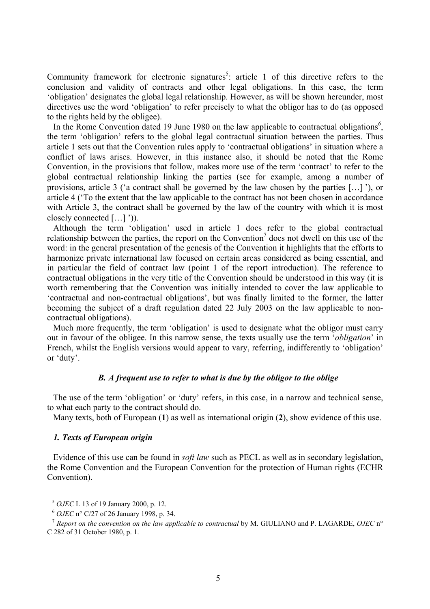Community framework for electronic signatures<sup>5</sup>: article 1 of this directive refers to the conclusion and validity of contracts and other legal obligations. In this case, the term 'obligation' designates the global legal relationship. However, as will be shown hereunder, most directives use the word 'obligation' to refer precisely to what the obligor has to do (as opposed to the rights held by the obligee).

In the Rome Convention dated 19 June 1980 on the law applicable to contractual obligations*<sup>6</sup>* , the term 'obligation' refers to the global legal contractual situation between the parties. Thus article 1 sets out that the Convention rules apply to 'contractual obligations' in situation where a conflict of laws arises. However, in this instance also, it should be noted that the Rome Convention, in the provisions that follow, makes more use of the term 'contract' to refer to the global contractual relationship linking the parties (see for example, among a number of provisions, article 3 ('a contract shall be governed by the law chosen by the parties […] '), or article 4 ('To the extent that the law applicable to the contract has not been chosen in accordance with Article 3, the contract shall be governed by the law of the country with which it is most closely connected […] ')).

Although the term 'obligation' used in article 1 does refer to the global contractual relationship between the parties, the report on the Convention<sup>7</sup> does not dwell on this use of the word: in the general presentation of the genesis of the Convention it highlights that the efforts to harmonize private international law focused on certain areas considered as being essential, and in particular the field of contract law (point 1 of the report introduction). The reference to contractual obligations in the very title of the Convention should be understood in this way (it is worth remembering that the Convention was initially intended to cover the law applicable to 'contractual and non-contractual obligations', but was finally limited to the former, the latter becoming the subject of a draft regulation dated 22 July 2003 on the law applicable to noncontractual obligations).

Much more frequently, the term 'obligation' is used to designate what the obligor must carry out in favour of the obligee. In this narrow sense, the texts usually use the term '*obligation*' in French, whilst the English versions would appear to vary, referring, indifferently to 'obligation' or 'duty'.

## *B. A frequent use to refer to what is due by the obligor to the oblige*

The use of the term 'obligation' or 'duty' refers, in this case, in a narrow and technical sense, to what each party to the contract should do.

Many texts, both of European (**1**) as well as international origin (**2**), show evidence of this use.

## *1. Texts of European origin*

Evidence of this use can be found in *soft law* such as PECL as well as in secondary legislation, the Rome Convention and the European Convention for the protection of Human rights (ECHR Convention).

 $5$  OJEC L 13 of 19 January 2000, p. 12.

<sup>&</sup>lt;sup>6</sup> *OJEC* n° C/27 of 26 January 1998, p. 34.<br><sup>7</sup> *Report on the convention on the law applicable to contractual* by M. GIULIANO and P. LAGARDE, *OJEC* n° C 282 of 31 October 1980, p. 1.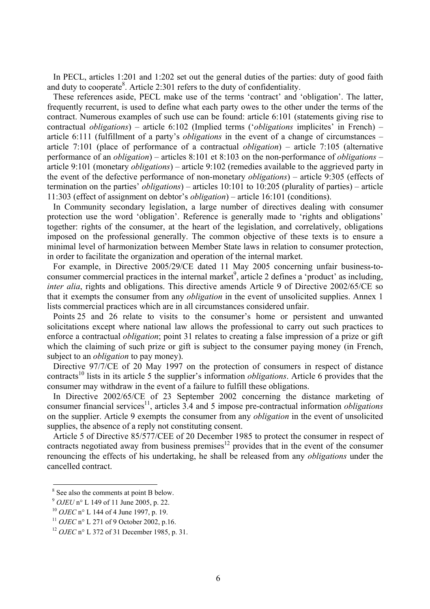In PECL, articles 1:201 and 1:202 set out the general duties of the parties: duty of good faith and duty to cooperate<sup>8</sup>. Article 2:301 refers to the duty of confidentiality.

These references aside, PECL make use of the terms 'contract' and 'obligation'. The latter, frequently recurrent, is used to define what each party owes to the other under the terms of the contract. Numerous examples of such use can be found: article 6:101 (statements giving rise to contractual *obligations*) – article 6:102 (Implied terms ('*obligations* implicites' in French) – article 6:111 (fulfillment of a party's *obligations* in the event of a change of circumstances – article 7:101 (place of performance of a contractual *obligation*) – article 7:105 (alternative performance of an *obligation*) – articles 8:101 et 8:103 on the non-performance of *obligations* – article 9:101 (monetary *obligations*) – article 9:102 (remedies available to the aggrieved party in the event of the defective performance of non-monetary *obligations*) – article 9:305 (effects of termination on the parties' *obligations*) – articles 10:101 to 10:205 (plurality of parties) – article 11:303 (effect of assignment on debtor's *obligation*) – article 16:101 (conditions).

In Community secondary legislation, a large number of directives dealing with consumer protection use the word 'obligation'. Reference is generally made to 'rights and obligations' together: rights of the consumer, at the heart of the legislation, and correlatively, obligations imposed on the professional generally. The common objective of these texts is to ensure a minimal level of harmonization between Member State laws in relation to consumer protection, in order to facilitate the organization and operation of the internal market.

For example, in Directive 2005/29/CE dated 11 May 2005 concerning unfair business-toconsumer commercial practices in the internal market<sup>9</sup>, article 2 defines a 'product' as including, *inter alia*, rights and obligations. This directive amends Article 9 of Directive 2002/65/CE so that it exempts the consumer from any *obligation* in the event of unsolicited supplies. Annex 1 lists commercial practices which are in all circumstances considered unfair.

Points 25 and 26 relate to visits to the consumer's home or persistent and unwanted solicitations except where national law allows the professional to carry out such practices to enforce a contractual *obligation*; point 31 relates to creating a false impression of a prize or gift which the claiming of such prize or gift is subject to the consumer paying money (in French, subject to an *obligation* to pay money).

Directive 97/7/CE of 20 May 1997 on the protection of consumers in respect of distance contracts10 lists in its article 5 the supplier's information *obligations*. Article 6 provides that the consumer may withdraw in the event of a failure to fulfill these obligations.

In Directive 2002/65/CE of 23 September 2002 concerning the distance marketing of consumer financial services<sup>11</sup>, articles 3.4 and 5 impose pre-contractual information *obligations* on the supplier. Article 9 exempts the consumer from any *obligation* in the event of unsolicited supplies, the absence of a reply not constituting consent.

Article 5 of Directive 85/577/CEE of 20 December 1985 to protect the consumer in respect of contracts negotiated away from business premises<sup>12</sup> provides that in the event of the consumer renouncing the effects of his undertaking, he shall be released from any *obligations* under the cancelled contract.

<sup>8</sup> See also the comments at point B below.

<sup>&</sup>lt;sup>9</sup> *OJEU* n° L 149 of 11 June 2005, p. 22.<br><sup>10</sup> *OJEC* n° L 144 of 4 June 1997, p. 19.<br><sup>11</sup> *OJEC* n° L 372 of 31 December 1985, p. 31.<br><sup>12</sup> *OJEC* n° L 372 of 31 December 1985, p. 31.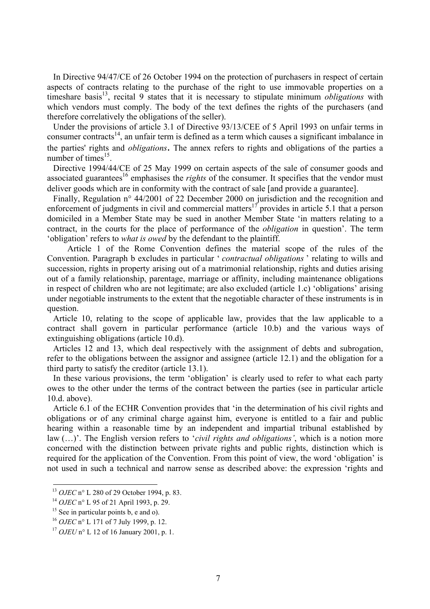In Directive 94/47/CE of 26 October 1994 on the protection of purchasers in respect of certain aspects of contracts relating to the purchase of the right to use immovable properties on a timeshare basis<sup>13</sup>, recital 9 states that it is necessary to stipulate minimum *obligations* with which vendors must comply. The body of the text defines the rights of the purchasers (and therefore correlatively the obligations of the seller).

Under the provisions of article 3.1 of Directive 93/13/CEE of 5 April 1993 on unfair terms in consumer contracts<sup>14</sup>, an unfair term is defined as a term which causes a significant imbalance in the parties' rights and *obligations*. The annex refers to rights and obligations of the parties a number of times $^{15}$ .

Directive 1994/44/CE of 25 May 1999 on certain aspects of the sale of consumer goods and associated guarantees<sup>16</sup> emphasises the *rights* of the consumer. It specifies that the vendor must deliver goods which are in conformity with the contract of sale [and provide a guarantee].

Finally, Regulation n° 44/2001 of 22 December 2000 on jurisdiction and the recognition and enforcement of judgments in civil and commercial matters<sup>17</sup> provides in article 5.1 that a person domiciled in a Member State may be sued in another Member State 'in matters relating to a contract, in the courts for the place of performance of the *obligation* in question'. The term 'obligation' refers to *what is owed* by the defendant to the plaintiff.

 Article 1 of the Rome Convention defines the material scope of the rules of the Convention. Paragraph b excludes in particular ' *contractual obligations* ' relating to wills and succession, rights in property arising out of a matrimonial relationship, rights and duties arising out of a family relationship, parentage, marriage or affinity, including maintenance obligations in respect of children who are not legitimate; are also excluded (article 1.c) 'obligations' arising under negotiable instruments to the extent that the negotiable character of these instruments is in question.

Article 10, relating to the scope of applicable law, provides that the law applicable to a contract shall govern in particular performance (article 10.b) and the various ways of extinguishing obligations (article 10.d).

Articles 12 and 13, which deal respectively with the assignment of debts and subrogation, refer to the obligations between the assignor and assignee (article 12.1) and the obligation for a third party to satisfy the creditor (article 13.1).

In these various provisions, the term 'obligation' is clearly used to refer to what each party owes to the other under the terms of the contract between the parties (see in particular article 10.d. above).

Article 6.1 of the ECHR Convention provides that 'in the determination of his civil rights and obligations or of any criminal charge against him, everyone is entitled to a fair and public hearing within a reasonable time by an independent and impartial tribunal established by law (…)'. The English version refers to '*civil rights and obligations'*, which is a notion more concerned with the distinction between private rights and public rights, distinction which is required for the application of the Convention. From this point of view, the word 'obligation' is not used in such a technical and narrow sense as described above: the expression 'rights and

<sup>&</sup>lt;sup>13</sup> OJEC n° L 280 of 29 October 1994, p. 83.

<sup>&</sup>lt;sup>14</sup> *OJEC* n° L 95 of 21 April 1993, p. 29. <sup>15</sup> See in particular points b, e and o).

<sup>16</sup> *OJEC* n° L 171 of 7 July 1999, p. 12. 17 *OJEU* n° L 12 of 16 January 2001, p. 1.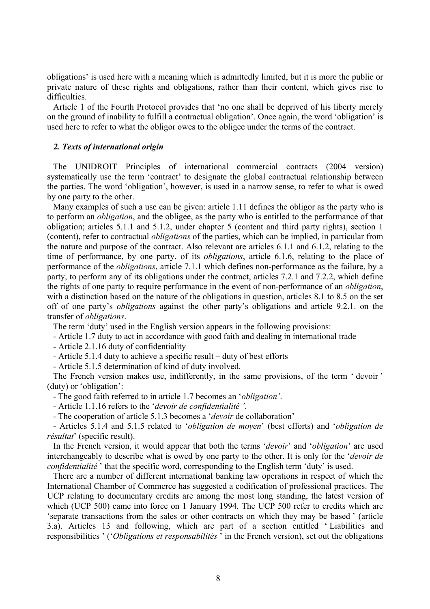obligations' is used here with a meaning which is admittedly limited, but it is more the public or private nature of these rights and obligations, rather than their content, which gives rise to difficulties.

Article 1 of the Fourth Protocol provides that 'no one shall be deprived of his liberty merely on the ground of inability to fulfill a contractual obligation'. Once again, the word 'obligation' is used here to refer to what the obligor owes to the obligee under the terms of the contract.

## *2. Texts of international origin*

The UNIDROIT Principles of international commercial contracts (2004 version) systematically use the term 'contract' to designate the global contractual relationship between the parties. The word 'obligation', however, is used in a narrow sense, to refer to what is owed by one party to the other.

Many examples of such a use can be given: article 1.11 defines the obligor as the party who is to perform an *obligation*, and the obligee, as the party who is entitled to the performance of that obligation; articles 5.1.1 and 5.1.2, under chapter 5 (content and third party rights), section 1 (content), refer to contractual *obligations* of the parties, which can be implied, in particular from the nature and purpose of the contract. Also relevant are articles 6.1.1 and 6.1.2, relating to the time of performance, by one party, of its *obligations*, article 6.1.6, relating to the place of performance of the *obligations*, article 7.1.1 which defines non-performance as the failure, by a party, to perform any of its obligations under the contract, articles 7.2.1 and 7.2.2, which define the rights of one party to require performance in the event of non-performance of an *obligation*, with a distinction based on the nature of the obligations in question, articles 8.1 to 8.5 on the set off of one party's *obligations* against the other party's obligations and article 9.2.1. on the transfer of *obligations*.

The term 'duty' used in the English version appears in the following provisions:

- Article 1.7 duty to act in accordance with good faith and dealing in international trade

- Article 2.1.16 duty of confidentiality

- Article 5.1.4 duty to achieve a specific result – duty of best efforts

- Article 5.1.5 determination of kind of duty involved.

The French version makes use, indifferently, in the same provisions, of the term ' devoir ' (duty) or 'obligation':

- The good faith referred to in article 1.7 becomes an '*obligation'*.

- Article 1.1.16 refers to the '*devoir de confidentialité '*.

- The cooperation of article 5.1.3 becomes a '*devoir* de collaboration'

- Articles 5.1.4 and 5.1.5 related to '*obligation de moyen*' (best efforts) and '*obligation de résultat*' (specific result).

In the French version, it would appear that both the terms '*devoir*' and '*obligation*' are used interchangeably to describe what is owed by one party to the other. It is only for the '*devoir de confidentialité* ' that the specific word, corresponding to the English term 'duty' is used.

There are a number of different international banking law operations in respect of which the International Chamber of Commerce has suggested a codification of professional practices. The UCP relating to documentary credits are among the most long standing, the latest version of which (UCP 500) came into force on 1 January 1994. The UCP 500 refer to credits which are 'separate transactions from the sales or other contracts on which they may be based ' (article 3.a). Articles 13 and following, which are part of a section entitled ' Liabilities and responsibilities ' ('*Obligations et responsabilités* ' in the French version), set out the obligations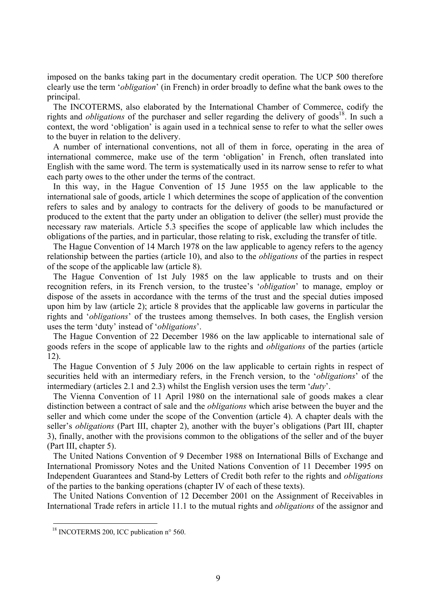imposed on the banks taking part in the documentary credit operation. The UCP 500 therefore clearly use the term '*obligation*' (in French) in order broadly to define what the bank owes to the principal.

The INCOTERMS, also elaborated by the International Chamber of Commerce, codify the rights and *obligations* of the purchaser and seller regarding the delivery of goods<sup>18</sup>. In such a context, the word 'obligation' is again used in a technical sense to refer to what the seller owes to the buyer in relation to the delivery.

A number of international conventions, not all of them in force, operating in the area of international commerce, make use of the term 'obligation' in French, often translated into English with the same word. The term is systematically used in its narrow sense to refer to what each party owes to the other under the terms of the contract.

In this way, in the Hague Convention of 15 June 1955 on the law applicable to the international sale of goods, article 1 which determines the scope of application of the convention refers to sales and by analogy to contracts for the delivery of goods to be manufactured or produced to the extent that the party under an obligation to deliver (the seller) must provide the necessary raw materials. Article 5.3 specifies the scope of applicable law which includes the obligations of the parties, and in particular, those relating to risk, excluding the transfer of title.

The Hague Convention of 14 March 1978 on the law applicable to agency refers to the agency relationship between the parties (article 10), and also to the *obligations* of the parties in respect of the scope of the applicable law (article 8).

The Hague Convention of 1st July 1985 on the law applicable to trusts and on their recognition refers, in its French version, to the trustee's '*obligation*' to manage, employ or dispose of the assets in accordance with the terms of the trust and the special duties imposed upon him by law (article 2); article 8 provides that the applicable law governs in particular the rights and '*obligations*' of the trustees among themselves. In both cases, the English version uses the term 'duty' instead of '*obligations*'.

The Hague Convention of 22 December 1986 on the law applicable to international sale of goods refers in the scope of applicable law to the rights and *obligations* of the parties (article 12).

The Hague Convention of 5 July 2006 on the law applicable to certain rights in respect of securities held with an intermediary refers, in the French version, to the '*obligations*' of the intermediary (articles 2.1 and 2.3) whilst the English version uses the term '*duty*'.

The Vienna Convention of 11 April 1980 on the international sale of goods makes a clear distinction between a contract of sale and the *obligations* which arise between the buyer and the seller and which come under the scope of the Convention (article 4). A chapter deals with the seller's *obligations* (Part III, chapter 2), another with the buyer's obligations (Part III, chapter 3), finally, another with the provisions common to the obligations of the seller and of the buyer (Part III, chapter 5).

The United Nations Convention of 9 December 1988 on International Bills of Exchange and International Promissory Notes and the United Nations Convention of 11 December 1995 on Independent Guarantees and Stand-by Letters of Credit both refer to the rights and *obligations* of the parties to the banking operations (chapter IV of each of these texts).

The United Nations Convention of 12 December 2001 on the Assignment of Receivables in International Trade refers in article 11.1 to the mutual rights and *obligations* of the assignor and

 $\overline{a}$ <sup>18</sup> INCOTERMS 200, ICC publication n° 560.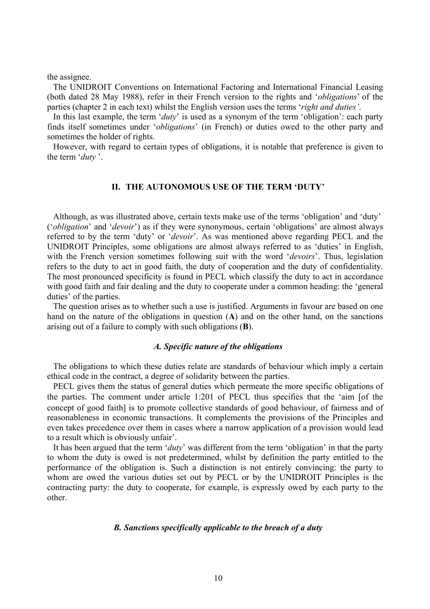the assignee.

The UNIDROIT Conventions on International Factoring and International Financial Leasing (both dated 28 May 1988), refer in their French version to the rights and '*obligations*' of the parties (chapter 2 in each text) whilst the English version uses the terms '*right and duties'*.

In this last example, the term '*duty*' is used as a synonym of the term 'obligation': each party finds itself sometimes under '*obligations*' (in French) or duties owed to the other party and sometimes the holder of rights.

However, with regard to certain types of obligations, it is notable that preference is given to the term '*duty* '.

#### **II. THE AUTONOMOUS USE OF THE TERM 'DUTY'**

Although, as was illustrated above, certain texts make use of the terms 'obligation' and 'duty' ('*obligation*' and '*devoir*') as if they were synonymous, certain 'obligations' are almost always referred to by the term 'duty' or '*devoir*'. As was mentioned above regarding PECL and the UNIDROIT Principles, some obligations are almost always referred to as 'duties' in English, with the French version sometimes following suit with the word '*devoirs*'. Thus, legislation refers to the duty to act in good faith, the duty of cooperation and the duty of confidentiality. The most pronounced specificity is found in PECL which classify the duty to act in accordance with good faith and fair dealing and the duty to cooperate under a common heading: the 'general duties' of the parties.

The question arises as to whether such a use is justified. Arguments in favour are based on one hand on the nature of the obligations in question (**A**) and on the other hand, on the sanctions arising out of a failure to comply with such obligations (**B**).

## *A. Specific nature of the obligations*

The obligations to which these duties relate are standards of behaviour which imply a certain ethical code in the contract, a degree of solidarity between the parties.

PECL gives them the status of general duties which permeate the more specific obligations of the parties. The comment under article 1:201 of PECL thus specifies that the 'aim [of the concept of good faith] is to promote collective standards of good behaviour, of fairness and of reasonableness in economic transactions. It complements the provisions of the Principles and even takes precedence over them in cases where a narrow application of a provision would lead to a result which is obviously unfair'.

It has been argued that the term '*duty*' was different from the term 'obligation' in that the party to whom the duty is owed is not predetermined, whilst by definition the party entitled to the performance of the obligation is. Such a distinction is not entirely convincing: the party to whom are owed the various duties set out by PECL or by the UNIDROIT Principles is the contracting party: the duty to cooperate, for example, is expressly owed by each party to the other.

## *B. Sanctions specifically applicable to the breach of a duty*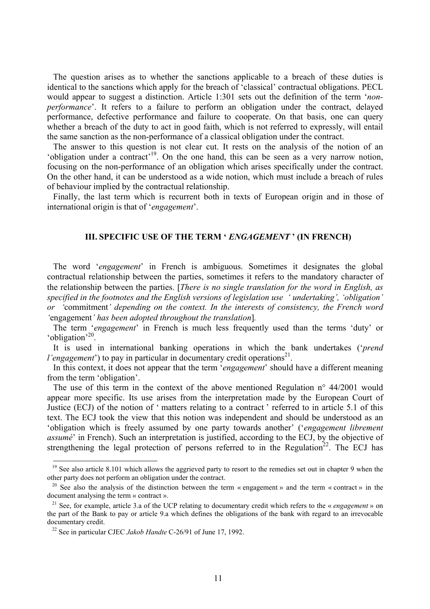The question arises as to whether the sanctions applicable to a breach of these duties is identical to the sanctions which apply for the breach of 'classical' contractual obligations. PECL would appear to suggest a distinction. Article 1:301 sets out the definition of the term '*nonperformance*'. It refers to a failure to perform an obligation under the contract, delayed performance, defective performance and failure to cooperate. On that basis, one can query whether a breach of the duty to act in good faith, which is not referred to expressly, will entail the same sanction as the non-performance of a classical obligation under the contract.

The answer to this question is not clear cut. It rests on the analysis of the notion of an 'obligation under a contract'19. On the one hand, this can be seen as a very narrow notion, focusing on the non-performance of an obligation which arises specifically under the contract. On the other hand, it can be understood as a wide notion, which must include a breach of rules of behaviour implied by the contractual relationship.

Finally, the last term which is recurrent both in texts of European origin and in those of international origin is that of '*engagement*'.

## **III. SPECIFIC USE OF THE TERM '** *ENGAGEMENT***' (IN FRENCH)**

The word '*engagement*' in French is ambiguous. Sometimes it designates the global contractual relationship between the parties, sometimes it refers to the mandatory character of the relationship between the parties. [*There is no single translation for the word in English, as specified in the footnotes and the English versions of legislation use ' undertaking', 'obligation' or '*commitment*' depending on the context. In the interests of consistency, the French word '*engagement*' has been adopted throughout the translation*]*.* 

The term '*engagement*' in French is much less frequently used than the terms 'duty' or 'obligation'20.

It is used in international banking operations in which the bank undertakes ('*prend l'engagement*') to pay in particular in documentary credit operations<sup>21</sup>.

In this context, it does not appear that the term '*engagement*' should have a different meaning from the term 'obligation'.

The use of this term in the context of the above mentioned Regulation  $n^{\circ}$  44/2001 would appear more specific. Its use arises from the interpretation made by the European Court of Justice (ECJ) of the notion of ' matters relating to a contract ' referred to in article 5.1 of this text. The ECJ took the view that this notion was independent and should be understood as an 'obligation which is freely assumed by one party towards another' ('*engagement librement assumé*' in French). Such an interpretation is justified, according to the ECJ, by the objective of strengthening the legal protection of persons referred to in the Regulation<sup>22</sup>. The ECJ has

<sup>&</sup>lt;sup>19</sup> See also article 8.101 which allows the aggrieved party to resort to the remedies set out in chapter 9 when the other party does not perform an obligation under the contract.

<sup>&</sup>lt;sup>20</sup> See also the analysis of the distinction between the term « engagement » and the term « contract » in the document analysing the term « contract ».

<sup>21</sup> See, for example, article 3.a of the UCP relating to documentary credit which refers to the « *engagement* » on the part of the Bank to pay or article 9.a which defines the obligations of the bank with regard to an irrevocable documentary credit.

<sup>22</sup> See in particular CJEC *Jakob Handte* C-26/91 of June 17, 1992.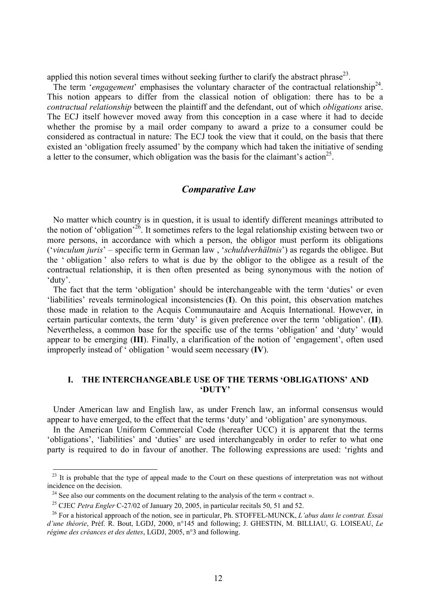applied this notion several times without seeking further to clarify the abstract phrase<sup>23</sup>.

The term '*engagement*' emphasises the voluntary character of the contractual relationship<sup>24</sup>. This notion appears to differ from the classical notion of obligation: there has to be a *contractual relationship* between the plaintiff and the defendant, out of which *obligations* arise. The ECJ itself however moved away from this conception in a case where it had to decide whether the promise by a mail order company to award a prize to a consumer could be considered as contractual in nature: The ECJ took the view that it could, on the basis that there existed an 'obligation freely assumed' by the company which had taken the initiative of sending a letter to the consumer, which obligation was the basis for the claimant's action<sup>25</sup>.

# *Comparative Law*

No matter which country is in question, it is usual to identify different meanings attributed to the notion of 'obligation'<sup>26</sup>. It sometimes refers to the legal relationship existing between two or more persons, in accordance with which a person, the obligor must perform its obligations ('*vinculum juris*' – specific term in German law , '*schuldverhältnis*') as regards the obligee. But the ' obligation ' also refers to what is due by the obligor to the obligee as a result of the contractual relationship, it is then often presented as being synonymous with the notion of 'duty'.

The fact that the term 'obligation' should be interchangeable with the term 'duties' or even 'liabilities' reveals terminological inconsistencies (**I**). On this point, this observation matches those made in relation to the Acquis Communautaire and Acquis International. However, in certain particular contexts, the term 'duty' is given preference over the term 'obligation'. (**II**). Nevertheless, a common base for the specific use of the terms 'obligation' and 'duty' would appear to be emerging (**III**). Finally, a clarification of the notion of 'engagement', often used improperly instead of ' obligation ' would seem necessary (**IV**).

## **I. THE INTERCHANGEABLE USE OF THE TERMS 'OBLIGATIONS' AND 'DUTY'**

Under American law and English law, as under French law, an informal consensus would appear to have emerged, to the effect that the terms 'duty' and 'obligation' are synonymous.

In the American Uniform Commercial Code (hereafter UCC) it is apparent that the terms 'obligations', 'liabilities' and 'duties' are used interchangeably in order to refer to what one party is required to do in favour of another. The following expressions are used: 'rights and

 $23$  It is probable that the type of appeal made to the Court on these questions of interpretation was not without incidence on the decision.

<sup>&</sup>lt;sup>24</sup> See also our comments on the document relating to the analysis of the term « contract ».<br><sup>25</sup> CJEC *Petra Engler* C-27/02 of January 20, 2005, in particular recitals 50, 51 and 52.<br><sup>26</sup> For a historical approach of t *d'une théorie*, Préf. R. Bout, LGDJ, 2000, n°145 and following; J. GHESTIN, M. BILLIAU, G. LOISEAU, *Le régime des créances et des dettes*, LGDJ, 2005, n°3 and following.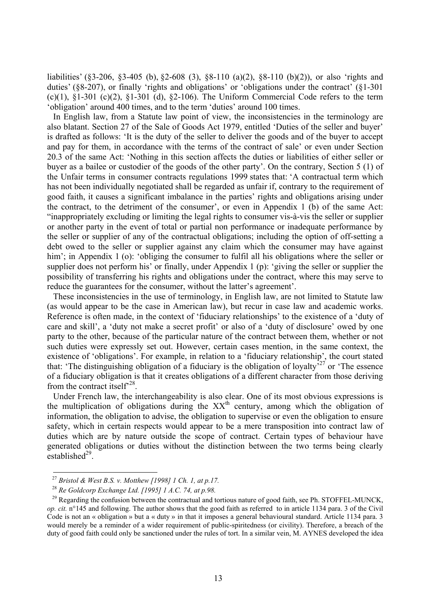liabilities' (§3-206, §3-405 (b), §2-608 (3), §8-110 (a)(2), §8-110 (b)(2)), or also 'rights and duties' (§8-207), or finally 'rights and obligations' or 'obligations under the contract' (§1-301  $(c)(1)$ ,  $$1-301$   $(c)(2)$ ,  $$1-301$   $(d)$ ,  $$2-106$ ). The Uniform Commercial Code refers to the term 'obligation' around 400 times, and to the term 'duties' around 100 times.

In English law, from a Statute law point of view, the inconsistencies in the terminology are also blatant. Section 27 of the Sale of Goods Act 1979, entitled 'Duties of the seller and buyer' is drafted as follows: 'It is the duty of the seller to deliver the goods and of the buyer to accept and pay for them, in accordance with the terms of the contract of sale' or even under Section 20.3 of the same Act: 'Nothing in this section affects the duties or liabilities of either seller or buyer as a bailee or custodier of the goods of the other party'. On the contrary, Section 5 (1) of the Unfair terms in consumer contracts regulations 1999 states that: 'A contractual term which has not been individually negotiated shall be regarded as unfair if, contrary to the requirement of good faith, it causes a significant imbalance in the parties' rights and obligations arising under the contract, to the detriment of the consumer', or even in Appendix 1 (b) of the same Act: "inappropriately excluding or limiting the legal rights to consumer vis-à-vis the seller or supplier or another party in the event of total or partial non performance or inadequate performance by the seller or supplier of any of the contractual obligations; including the option of off-setting a debt owed to the seller or supplier against any claim which the consumer may have against him'; in Appendix 1 (o): 'obliging the consumer to fulfil all his obligations where the seller or supplier does not perform his' or finally, under Appendix 1 (p): 'giving the seller or supplier the possibility of transferring his rights and obligations under the contract, where this may serve to reduce the guarantees for the consumer, without the latter's agreement'.

These inconsistencies in the use of terminology, in English law, are not limited to Statute law (as would appear to be the case in American law), but recur in case law and academic works. Reference is often made, in the context of 'fiduciary relationships' to the existence of a 'duty of care and skill', a 'duty not make a secret profit' or also of a 'duty of disclosure' owed by one party to the other, because of the particular nature of the contract between them, whether or not such duties were expressly set out. However, certain cases mention, in the same context, the existence of 'obligations'. For example, in relation to a 'fiduciary relationship', the court stated that: 'The distinguishing obligation of a fiduciary is the obligation of loyalty<sup>527</sup> or 'The essence of a fiduciary obligation is that it creates obligations of a different character from those deriving from the contract itself<sup>28</sup>.

Under French law, the interchangeability is also clear. One of its most obvious expressions is the multiplication of obligations during the  $XX<sup>th</sup>$  century, among which the obligation of information, the obligation to advise, the obligation to supervise or even the obligation to ensure safety, which in certain respects would appear to be a mere transposition into contract law of duties which are by nature outside the scope of contract. Certain types of behaviour have generated obligations or duties without the distinction between the two terms being clearly  $established<sup>29</sup>$ 

<sup>27</sup> *Bristol & West B.S. v. Motthew [1998] 1 Ch. 1, at p.17.*

<sup>28</sup> *Re Goldcorp Exchange Ltd. [1995] 1 A.C. 74, at p.98.*

<sup>&</sup>lt;sup>29</sup> Regarding the confusion between the contractual and tortious nature of good faith, see Ph. STOFFEL-MUNCK, *op. cit.* n°145 and following. The author shows that the good faith as referred to in article 1134 para. 3 of the Civil Code is not an « obligation » but a « duty » in that it imposes a general behavioural standard. Article 1134 para. 3 would merely be a reminder of a wider requirement of public-spiritedness (or civility). Therefore, a breach of the duty of good faith could only be sanctioned under the rules of tort. In a similar vein, M. AYNES developed the idea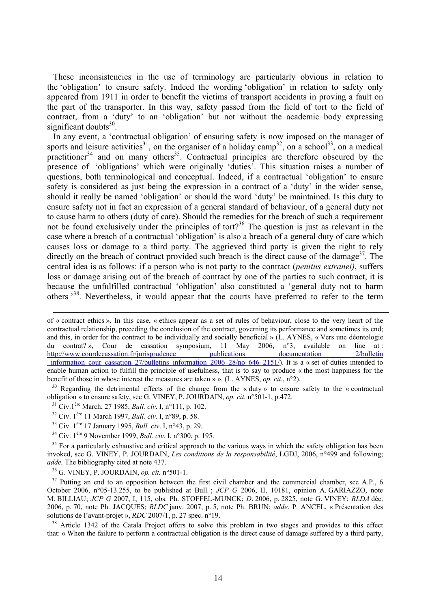These inconsistencies in the use of terminology are particularly obvious in relation to the 'obligation' to ensure safety. Indeed the wording 'obligation' in relation to safety only appeared from 1911 in order to benefit the victims of transport accidents in proving a fault on the part of the transporter. In this way, safety passed from the field of tort to the field of contract, from a 'duty' to an 'obligation' but not without the academic body expressing significant doubts $30$ .

In any event, a 'contractual obligation' of ensuring safety is now imposed on the manager of sports and leisure activities<sup>31</sup>, on the organiser of a holiday camp<sup>32</sup>, on a school<sup>33</sup>, on a medical practitioner<sup>34</sup> and on many others<sup>35</sup>. Contractual principles are therefore obscured by the presence of 'obligations' which were originally 'duties'. This situation raises a number of questions, both terminological and conceptual. Indeed, if a contractual 'obligation' to ensure safety is considered as just being the expression in a contract of a 'duty' in the wider sense, should it really be named 'obligation' or should the word 'duty' be maintained. Is this duty to ensure safety not in fact an expression of a general standard of behaviour, of a general duty not to cause harm to others (duty of care). Should the remedies for the breach of such a requirement not be found exclusively under the principles of tort?<sup>36</sup> The question is just as relevant in the case where a breach of a contractual 'obligation' is also a breach of a general duty of care which causes loss or damage to a third party. The aggrieved third party is given the right to rely directly on the breach of contract provided such breach is the direct cause of the damage<sup>37</sup>. The central idea is as follows: if a person who is not party to the contract (*penitus extranei)*, suffers loss or damage arising out of the breach of contract by one of the parties to such contract, it is because the unfulfilled contractual 'obligation' also constituted a 'general duty not to harm others<sup>38</sup>. Nevertheless, it would appear that the courts have preferred to refer to the term

obligation » to ensure safety, see G. VINEY, P. JOURDAIN, op. cit. n°501-1, p.472.<br><sup>31</sup> Civ.1<sup>ère</sup> March, 27 1985, *Bull. civ.* I, n°111, p. 102.<br><sup>32</sup> Civ. 1<sup>ère</sup> 11 March 1997, *Bull. civ.* I, n°89, p. 58.<br><sup>33</sup> Civ. 1<sup>èr</sup>

- 
- 
- 
- 

that: « When the failure to perform a contractual obligation is the direct cause of damage suffered by a third party,

of « contract ethics ». In this case, « ethics appear as a set of rules of behaviour, close to the very heart of the contractual relationship, preceding the conclusion of the contract, governing its performance and sometimes its end; and this, in order for the contract to be individually and socially beneficial » (L. AYNES, « Vers une déontologie du contrat? », Cour de cassation symposium, 11 May 2006, n°3, available on line at :<br>http://www.courdecassation.fr/jurisprudence publications documentation 2/bulletin http://www.courdecassation.fr/jurisprudence publications documentation 2/bulletin \_information\_cour\_cassation\_27/bulletins\_information\_2006\_28/no\_646\_2151/). It is a « set of duties intended to enable human action to fulfill the principle of usefulness, that is to say to produce « the most happiness for the benefit of those in whose interest the measures are taken » ». (L. AYNES, *op. cit.*, n°2).<br><sup>30</sup> Regarding the detrimental effects of the change from the « duty » to ensure safety to the « contractual

invoked, see G. VINEY, P. JOURDAIN, *Les conditions de la responsabilité*, LGDJ, 2006, n°499 and following; *adde.* The bibliography cited at note 437.<br><sup>36</sup> G. VINEY, P. JOURDAIN, *op. cit.* n°501-1.<br><sup>37</sup> Putting an end to an opposition between the first civil chamber and the commercial chamber, see A.P., 6

October 2006, n°05-13.255, to be published at Bull. ; *JCP G* 2006, II, 10181, opinion A. GARIAZZO, note M. BILLIAU; *JCP G* 2007, I, 115, obs. Ph. STOFFEL-MUNCK; *D*. 2006, p. 2825, note G. VINEY; *RLDA* déc. 2006, p. 70, note Ph. JACQUES; *RLDC* janv. 2007, p. 5, note Ph. BRUN; *adde*. P. ANCEL, « Présentation des solutions de l'avant-projet », *RDC* 2007/1, p. 27 spec. n°19.<br><sup>38</sup> Article 1342 of the Catala Project offers to solve this problem in two stages and provides to this effect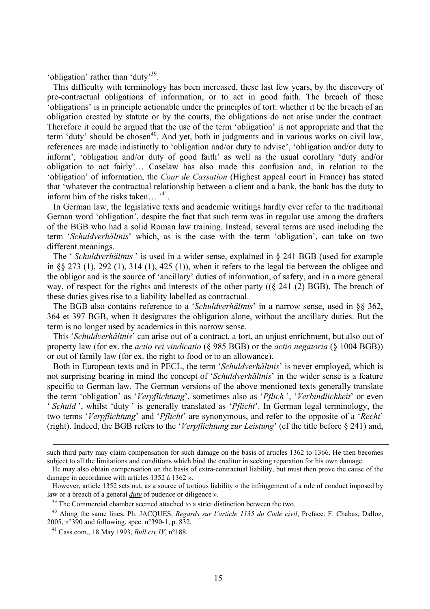'obligation' rather than 'duty'39.

This difficulty with terminology has been increased, these last few years, by the discovery of pre-contractual obligations of information, or to act in good faith. The breach of these 'obligations' is in principle actionable under the principles of tort: whether it be the breach of an obligation created by statute or by the courts, the obligations do not arise under the contract. Therefore it could be argued that the use of the term 'obligation' is not appropriate and that the term 'duty' should be chosen<sup>40</sup>. And yet, both in judgments and in various works on civil law, references are made indistinctly to 'obligation and/or duty to advise', 'obligation and/or duty to inform', 'obligation and/or duty of good faith' as well as the usual corollary 'duty and/or obligation to act fairly'… Caselaw has also made this confusion and, in relation to the 'obligation' of information, the *Cour de Cassation* (Highest appeal court in France) has stated that 'whatever the contractual relationship between a client and a bank, the bank has the duty to inform him of the risks taken...  $^{41}$ .

In German law, the legislative texts and academic writings hardly ever refer to the traditional Gernan word 'obligation', despite the fact that such term was in regular use among the drafters of the BGB who had a solid Roman law training. Instead, several terms are used including the term '*Schuldverhältnis*' which, as is the case with the term 'obligation', can take on two different meanings.

The ' *Schuldverhältnis* ' is used in a wider sense, explained in § 241 BGB (used for example in  $\S$  273 (1), 292 (1), 314 (1), 425 (1)), when it refers to the legal tie between the obligee and the obligor and is the source of 'ancillary' duties of information, of safety, and in a more general way, of respect for the rights and interests of the other party ((§ 241 (2) BGB). The breach of these duties gives rise to a liability labelled as contractual.

The BGB also contains reference to a '*Schuldverhältnis*' in a narrow sense, used in §§ 362, 364 et 397 BGB, when it designates the obligation alone, without the ancillary duties. But the term is no longer used by academics in this narrow sense.

This '*Schuldverhältnis*' can arise out of a contract, a tort, an unjust enrichment, but also out of property law (for ex. the *actio rei vindicatio* (§ 985 BGB) or the *actio negatoria* (§ 1004 BGB)) or out of family law (for ex. the right to food or to an allowance).

Both in European texts and in PECL, the term '*Schuldverhältnis*' is never employed, which is not surprising bearing in mind the concept of '*Schuldverhältnis*' in the wider sense is a feature specific to German law. The German versions of the above mentioned texts generally translate the term 'obligation' as '*Verpflichtung*', sometimes also as '*Pflich* ', '*Verbindlichkeit*' or even ' *Schuld* ', whilst 'duty ' is generally translated as '*Pflicht*'. In German legal terminology, the two terms '*Verpflichtung*' and '*Pflicht*' are synonymous, and refer to the opposite of a '*Recht*' (right). Indeed, the BGB refers to the '*Verpflichtung zur Leistung*' (cf the title before § 241) and,

such third party may claim compensation for such damage on the basis of articles 1362 to 1366. He then becomes subject to all the limitations and conditions which bind the creditor in seeking reparation for his own damage.

He may also obtain compensation on the basis of extra-contractual liability, but must then prove the cause of the damage in accordance with articles 1352 à 1362 ».

However, article 1352 sets out, as a source of tortious liability « the infringement of a rule of conduct imposed by

law or a breach of a general *duty* of pudence or diligence ».<br><sup>39</sup> The Commercial chamber seemed attached to a strict distinction between the two.<br><sup>40</sup> Along the same lines, Ph. JACQUES, *Regards sur l'article 1135 du Cod* 2005, n°390 and following, spec. n°390-1, p. 832.

<sup>41</sup> Cass.com., 18 May 1993, *Bull.civ.IV*, n°188.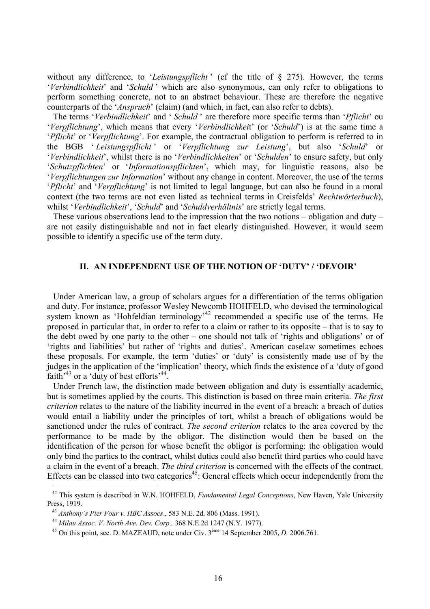without any difference, to '*Leistungspflicht*' (cf the title of § 275). However, the terms '*Verbindlichkeit*' and '*Schuld* ' which are also synonymous, can only refer to obligations to perform something concrete, not to an abstract behaviour. These are therefore the negative counterparts of the '*Anspruch*' (claim) (and which, in fact, can also refer to debts).

The terms '*Verbindlichkeit*' and ' *Schuld* ' are therefore more specific terms than '*Pflicht*' ou '*Verpflichtung*', which means that every '*Verbindlichkei*t' (or '*Schuld*') is at the same time a '*Pflicht*' or '*Verpflichtung*'. For example, the contractual obligation to perform is referred to in the BGB ' *Leistungspflicht* ' or '*Verpflichtung zur Leistung*', but also '*Schuld*' or '*Verbindlichkeit*', whilst there is no '*Verbindlichkeiten*' or '*Schulden*' to ensure safety, but only '*Schutzpflichten*' or '*Informationspflichten*', which may, for linguistic reasons, also be '*Verpflichtungen zur Information*' without any change in content. Moreover, the use of the terms '*Pflicht*' and '*Verpflichtung*' is not limited to legal language, but can also be found in a moral context (the two terms are not even listed as technical terms in Creisfelds' *Rechtwörterbuch*), whilst '*Verbindlichkeit*', '*Schuld*' and '*Schuldverhältnis*' are strictly legal terms.

These various observations lead to the impression that the two notions – obligation and duty – are not easily distinguishable and not in fact clearly distinguished. However, it would seem possible to identify a specific use of the term duty.

## **II. AN INDEPENDENT USE OF THE NOTION OF 'DUTY' / 'DEVOIR'**

Under American law, a group of scholars argues for a differentiation of the terms obligation and duty. For instance, professor Wesley Newcomb HOHFELD, who devised the terminological system known as 'Hohfeldian terminology'<sup>42</sup> recommended a specific use of the terms. He proposed in particular that, in order to refer to a claim or rather to its opposite – that is to say to the debt owed by one party to the other – one should not talk of 'rights and obligations' or of 'rights and liabilities' but rather of 'rights and duties'. American caselaw sometimes echoes these proposals. For example, the term 'duties' or 'duty' is consistently made use of by the judges in the application of the 'implication' theory, which finds the existence of a 'duty of good faith<sup> $3$ </sup> or a 'duty of best efforts<sup> $34$ </sup>.

Under French law, the distinction made between obligation and duty is essentially academic, but is sometimes applied by the courts. This distinction is based on three main criteria. *The first criterion* relates to the nature of the liability incurred in the event of a breach: a breach of duties would entail a liability under the principles of tort, whilst a breach of obligations would be sanctioned under the rules of contract. *The second criterion* relates to the area covered by the performance to be made by the obligor. The distinction would then be based on the identification of the person for whose benefit the obligor is performing: the obligation would only bind the parties to the contract, whilst duties could also benefit third parties who could have a claim in the event of a breach. *The third criterion* is concerned with the effects of the contract. Effects can be classed into two categories<sup>45</sup>: General effects which occur independently from the

<sup>42</sup> This system is described in W.N. HOHFELD, *Fundamental Legal Conceptions*, New Haven, Yale University Press, 1919.

<sup>&</sup>lt;sup>43</sup> Anthony's Pier Four v. HBC Assocs., 583 N.E. 2d. 806 (Mass. 1991).<br><sup>44</sup> Milau Assoc. *V. North Ave. Dev. Corp.*, 368 N.E.2d 1247 (N.Y. 1977).<br><sup>45</sup> On this point, see. D. MAZEAUD, note under Civ. 3<sup>ème</sup> 14 September 2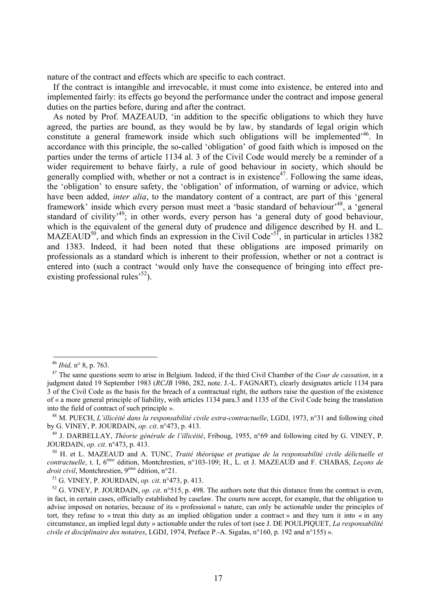nature of the contract and effects which are specific to each contract.

If the contract is intangible and irrevocable, it must come into existence, be entered into and implemented fairly: its effects go beyond the performance under the contract and impose general duties on the parties before, during and after the contract.

As noted by Prof. MAZEAUD, 'in addition to the specific obligations to which they have agreed, the parties are bound, as they would be by law, by standards of legal origin which constitute a general framework inside which such obligations will be implemented<sup> $,46$ </sup>. In accordance with this principle, the so-called 'obligation' of good faith which is imposed on the parties under the terms of article 1134 al. 3 of the Civil Code would merely be a reminder of a wider requirement to behave fairly, a rule of good behaviour in society, which should be generally complied with, whether or not a contract is in existence<sup>47</sup>. Following the same ideas, the 'obligation' to ensure safety, the 'obligation' of information, of warning or advice, which have been added, *inter alia*, to the mandatory content of a contract, are part of this 'general framework' inside which every person must meet a 'basic standard of behaviour'<sup>48</sup>, a 'general standard of civility<sup>49</sup>; in other words, every person has 'a general duty of good behaviour, which is the equivalent of the general duty of prudence and diligence described by H. and L. MAZEAUD<sup>50</sup>, and which finds an expression in the Civil Code<sup>551</sup>, in particular in articles  $1382$ and 1383. Indeed, it had been noted that these obligations are imposed primarily on professionals as a standard which is inherent to their profession, whether or not a contract is entered into (such a contract 'would only have the consequence of bringing into effect preexisting professional rules<sup> $52$ </sup>).

<sup>46</sup> *Ibid,* n° 8, p. 763. 47 The same questions seem to arise in Belgium. Indeed, if the third Civil Chamber of the *Cour de cassation*, in a judgment dated 19 September 1983 (*RCJB* 1986, 282, note. J.-L. FAGNART), clearly designates article 1134 para 3 of the Civil Code as the basis for the breach of a contractual right, the authors raise the question of the existence of « a more general principle of liability, with articles 1134 para.3 and 1135 of the Civil Code being the translation into the field of contract of such principle ». 48 M. PUECH, *L'illicéité dans la responsabilité civile extra-contractuelle*, LGDJ, 1973, n°31 and following cited

by G. VINEY, P. JOURDAIN, *op. cit.* n°473, p. 413.<br><sup>49</sup> J. DARBELLAY, *Théorie générale de l'illicéité*, Friboug, 1955, n°69 and following cited by G. VINEY, P.<br>JOURDAIN, *op. cit.* n°473, p. 413.

<sup>&</sup>lt;sup>50</sup> H. et L. MAZEAUD and A. TUNC, *Traité théorique et pratique de la responsabilité civile délictuelle et contractuelle*, t. I,  $6^{eme}$  édition, Montchrestien, n°103-109; H., L. et J. MAZEAUD and F. CHABAS, *Leçons de droit civil*, Montchrestien, 9<sup>ème</sup> édition, n°21.

<sup>&</sup>lt;sup>51</sup> G. VINEY, P. JOURDAIN, *op. cit.*  $n^{\circ}473$ , p. 413.<br><sup>52</sup> G. VINEY, P. JOURDAIN, *op. cit.*  $n^{\circ}515$ , p. 498. The authors note that this distance from the contract is even, in fact, in certain cases, officially established by caselaw. The courts now accept, for example, that the obligation to advise imposed on notaries, because of its « professional » nature, can only be actionable under the principles of tort, they refuse to « treat this duty as an implied obligation under a contract » and they turn it into « in any circumstance, an implied legal duty » actionable under the rules of tort (see J. DE POULPIQUET, *La responsabilité civile et disciplinaire des notaires*, LGDJ, 1974, Preface P.-A. Sigalas, n°160, p. 192 and n°155) ».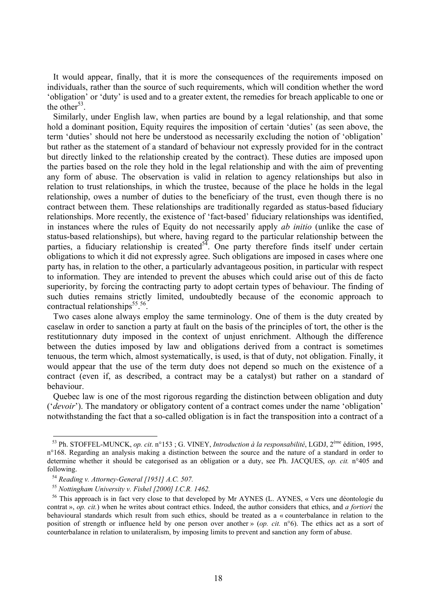It would appear, finally, that it is more the consequences of the requirements imposed on individuals, rather than the source of such requirements, which will condition whether the word 'obligation' or 'duty' is used and to a greater extent, the remedies for breach applicable to one or the other<sup>53</sup>.

Similarly, under English law, when parties are bound by a legal relationship, and that some hold a dominant position, Equity requires the imposition of certain 'duties' (as seen above, the term 'duties' should not here be understood as necessarily excluding the notion of 'obligation' but rather as the statement of a standard of behaviour not expressly provided for in the contract but directly linked to the relationship created by the contract). These duties are imposed upon the parties based on the role they hold in the legal relationship and with the aim of preventing any form of abuse. The observation is valid in relation to agency relationships but also in relation to trust relationships, in which the trustee, because of the place he holds in the legal relationship, owes a number of duties to the beneficiary of the trust, even though there is no contract between them. These relationships are traditionally regarded as status-based fiduciary relationships. More recently, the existence of 'fact-based' fiduciary relationships was identified, in instances where the rules of Equity do not necessarily apply *ab initio* (unlike the case of status-based relationships), but where, having regard to the particular relationship between the parties, a fiduciary relationship is created<sup>54</sup>. One party therefore finds itself under certain obligations to which it did not expressly agree. Such obligations are imposed in cases where one party has, in relation to the other, a particularly advantageous position, in particular with respect to information. They are intended to prevent the abuses which could arise out of this de facto superiority, by forcing the contracting party to adopt certain types of behaviour. The finding of such duties remains strictly limited, undoubtedly because of the economic approach to contractual relationships $55.56$ .

Two cases alone always employ the same terminology. One of them is the duty created by caselaw in order to sanction a party at fault on the basis of the principles of tort, the other is the restitutionnary duty imposed in the context of unjust enrichment. Although the difference between the duties imposed by law and obligations derived from a contract is sometimes tenuous, the term which, almost systematically, is used, is that of duty, not obligation. Finally, it would appear that the use of the term duty does not depend so much on the existence of a contract (even if, as described, a contract may be a catalyst) but rather on a standard of behaviour.

Quebec law is one of the most rigorous regarding the distinction between obligation and duty ('*devoir*'). The mandatory or obligatory content of a contract comes under the name 'obligation' notwithstanding the fact that a so-called obligation is in fact the transposition into a contract of a

<sup>53</sup> Ph. STOFFEL-MUNCK, *op. cit*. n°153 ; G. VINEY, *Introduction à la responsabilité*, LGDJ, 2ème édition, 1995, n°168. Regarding an analysis making a distinction between the source and the nature of a standard in order to determine whether it should be categorised as an obligation or a duty, see Ph. JACQUES, *op. cit.* n°405 and following.

<sup>54</sup> *Reading v. Attorney-General [1951] A.C. 507.*

<sup>55</sup> *Nottingham University v. Fishel [2000] I.C.R. 1462.*

<sup>&</sup>lt;sup>56</sup> This approach is in fact very close to that developed by Mr AYNES (L. AYNES, « Vers une déontologie du contrat », *op. cit.*) when he writes about contract ethics. Indeed, the author considers that ethics, and *a fortiori* the behavioural standards which result from such ethics, should be treated as a « counterbalance in relation to the position of strength or influence held by one person over another » (*op. cit.* n°6). The ethics act as a sort of counterbalance in relation to unilateralism, by imposing limits to prevent and sanction any form of abuse.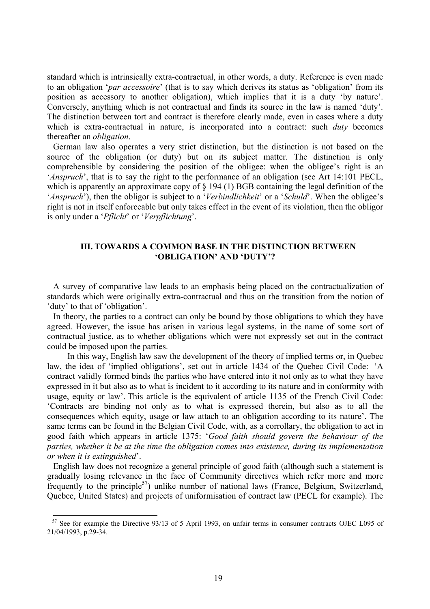standard which is intrinsically extra-contractual, in other words, a duty. Reference is even made to an obligation '*par accessoire*' (that is to say which derives its status as 'obligation' from its position as accessory to another obligation), which implies that it is a duty 'by nature'. Conversely, anything which is not contractual and finds its source in the law is named 'duty'. The distinction between tort and contract is therefore clearly made, even in cases where a duty which is extra-contractual in nature, is incorporated into a contract: such *duty* becomes thereafter an *obligation*.

German law also operates a very strict distinction, but the distinction is not based on the source of the obligation (or duty) but on its subject matter. The distinction is only comprehensible by considering the position of the obligee: when the obligee's right is an '*Anspruch*', that is to say the right to the performance of an obligation (see Art 14:101 PECL, which is apparently an approximate copy of § 194 (1) BGB containing the legal definition of the '*Anspruch*'), then the obligor is subject to a '*Verbindlichkeit*' or a '*Schuld*'. When the obligee's right is not in itself enforceable but only takes effect in the event of its violation, then the obligor is only under a '*Pflicht*' or '*Verpflichtung*'.

## **III. TOWARDS A COMMON BASE IN THE DISTINCTION BETWEEN 'OBLIGATION' AND 'DUTY'?**

A survey of comparative law leads to an emphasis being placed on the contractualization of standards which were originally extra-contractual and thus on the transition from the notion of 'duty' to that of 'obligation'.

In theory, the parties to a contract can only be bound by those obligations to which they have agreed. However, the issue has arisen in various legal systems, in the name of some sort of contractual justice, as to whether obligations which were not expressly set out in the contract could be imposed upon the parties.

 In this way, English law saw the development of the theory of implied terms or, in Quebec law, the idea of 'implied obligations', set out in article 1434 of the Quebec Civil Code: 'A contract validly formed binds the parties who have entered into it not only as to what they have expressed in it but also as to what is incident to it according to its nature and in conformity with usage, equity or law'. This article is the equivalent of article 1135 of the French Civil Code: 'Contracts are binding not only as to what is expressed therein, but also as to all the consequences which equity, usage or law attach to an obligation according to its nature'. The same terms can be found in the Belgian Civil Code, with, as a corrollary, the obligation to act in good faith which appears in article 1375: '*Good faith should govern the behaviour of the parties, whether it be at the time the obligation comes into existence, during its implementation or when it is extinguished*'.

English law does not recognize a general principle of good faith (although such a statement is gradually losing relevance in the face of Community directives which refer more and more frequently to the principle<sup>57</sup>) unlike number of national laws (France, Belgium, Switzerland, Quebec, United States) and projects of uniformisation of contract law (PECL for example). The

 $57$  See for example the Directive 93/13 of 5 April 1993, on unfair terms in consumer contracts OJEC L095 of 21/04/1993, p.29-34.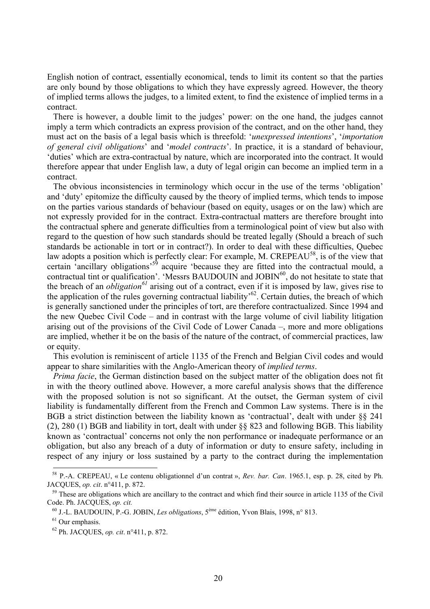English notion of contract, essentially economical, tends to limit its content so that the parties are only bound by those obligations to which they have expressly agreed. However, the theory of implied terms allows the judges, to a limited extent, to find the existence of implied terms in a contract.

There is however, a double limit to the judges' power: on the one hand, the judges cannot imply a term which contradicts an express provision of the contract, and on the other hand, they must act on the basis of a legal basis which is threefold: '*unexpressed intentions*', '*importation of general civil obligations*' and '*model contracts*'. In practice, it is a standard of behaviour, 'duties' which are extra-contractual by nature, which are incorporated into the contract. It would therefore appear that under English law, a duty of legal origin can become an implied term in a contract.

The obvious inconsistencies in terminology which occur in the use of the terms 'obligation' and 'duty' epitomize the difficulty caused by the theory of implied terms, which tends to impose on the parties various standards of behaviour (based on equity, usages or on the law) which are not expressly provided for in the contract. Extra-contractual matters are therefore brought into the contractual sphere and generate difficulties from a terminological point of view but also with regard to the question of how such standards should be treated legally (Should a breach of such standards be actionable in tort or in contract?). In order to deal with these difficulties, Quebec law adopts a position which is perfectly clear: For example, M. CREPEAU<sup>58</sup>, is of the view that certain  $\cdot$  ancillary obligations<sup>59</sup> acquire  $\cdot$  because they are fitted into the contractual mould, a contractual tint or qualification'. 'Messrs BAUDOUIN and JOBIN<sup>60</sup>, do not hesitate to state that the breach of an *obligation*<sup>61</sup> arising out of a contract, even if it is imposed by law, gives rise to the application of the rules governing contractual liability<sup>562</sup>. Certain duties, the breach of which is generally sanctioned under the principles of tort, are therefore contractualized. Since 1994 and the new Quebec Civil Code – and in contrast with the large volume of civil liability litigation arising out of the provisions of the Civil Code of Lower Canada –, more and more obligations are implied, whether it be on the basis of the nature of the contract, of commercial practices, law or equity.

This evolution is reminiscent of article 1135 of the French and Belgian Civil codes and would appear to share similarities with the Anglo-American theory of *implied terms*.

*Prima facie*, the German distinction based on the subject matter of the obligation does not fit in with the theory outlined above. However, a more careful analysis shows that the difference with the proposed solution is not so significant. At the outset, the German system of civil liability is fundamentally different from the French and Common Law systems. There is in the BGB a strict distinction between the liability known as 'contractual', dealt with under §§ 241 (2), 280 (1) BGB and liability in tort, dealt with under §§ 823 and following BGB. This liability known as 'contractual' concerns not only the non performance or inadequate performance or an obligation, but also any breach of a duty of information or duty to ensure safety, including in respect of any injury or loss sustained by a party to the contract during the implementation

<sup>58</sup> P.-A. CREPEAU, « Le contenu obligationnel d'un contrat », *Rev. bar. Can*. 1965.1, esp. p. 28, cited by Ph. JACQUES, *op. cit.* n°411, p. 872.<br><sup>59</sup> These are obligations which are ancillary to the contract and which find their source in article 1135 of the Civil

Code. Ph. JACQUES, *op. cit.*

<sup>60</sup> J.-L. BAUDOUIN, P.-G. JOBIN, *Les obligations*, 5ème édition, Yvon Blais, 1998, n° 813. 61 Our emphasis.

<sup>62</sup> Ph. JACQUES, *op. cit*. n°411, p. 872.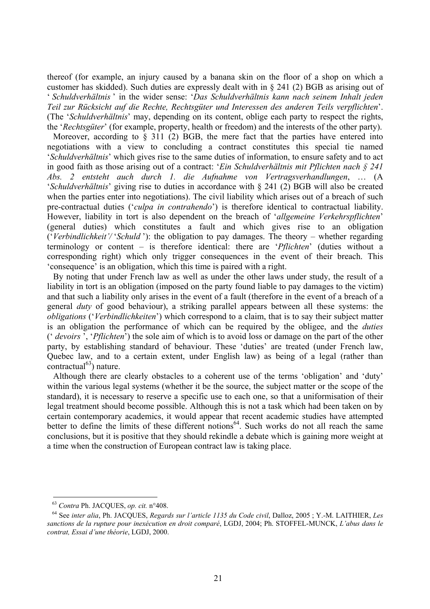thereof (for example, an injury caused by a banana skin on the floor of a shop on which a customer has skidded). Such duties are expressly dealt with in § 241 (2) BGB as arising out of ' *Schuldverhältnis* ' in the wider sense: '*Das Schuldverhältnis kann nach seinem Inhalt jeden Teil zur Rücksicht auf die Rechte, Rechtsgüter und Interessen des anderen Teils verpflichten*'. (The '*Schuldverhältnis*' may, depending on its content, oblige each party to respect the rights, the '*Rechtsgüter*' (for example, property, health or freedom) and the interests of the other party).

Moreover, according to § 311 (2) BGB, the mere fact that the parties have entered into negotiations with a view to concluding a contract constitutes this special tie named '*Schuldverhältnis*' which gives rise to the same duties of information, to ensure safety and to act in good faith as those arising out of a contract: '*Ein Schuldverhältnis mit Pflichten nach § 241 Abs. 2 entsteht auch durch 1. die Aufnahme von Vertragsverhandlungen*, … (A '*Schuldverhältnis*' giving rise to duties in accordance with § 241 (2) BGB will also be created when the parties enter into negotiations). The civil liability which arises out of a breach of such pre-contractual duties ('*culpa in contrahendo*') is therefore identical to contractual liability. However, liability in tort is also dependent on the breach of '*allgemeine Verkehrspflichten*' (general duties) which constitutes a fault and which gives rise to an obligation ('*Verbindlichkeit'/* '*Schuld* '): the obligation to pay damages. The theory – whether regarding terminology or content – is therefore identical: there are '*Pflichten*' (duties without a corresponding right) which only trigger consequences in the event of their breach. This 'consequence' is an obligation, which this time is paired with a right.

By noting that under French law as well as under the other laws under study, the result of a liability in tort is an obligation (imposed on the party found liable to pay damages to the victim) and that such a liability only arises in the event of a fault (therefore in the event of a breach of a general *duty* of good behaviour), a striking parallel appears between all these systems: the *obligations* ('*Verbindlichkeiten*') which correspond to a claim, that is to say their subject matter is an obligation the performance of which can be required by the obligee, and the *duties* (' *devoirs* ', '*Pflichten*') the sole aim of which is to avoid loss or damage on the part of the other party, by establishing standard of behaviour. These 'duties' are treated (under French law, Quebec law, and to a certain extent, under English law) as being of a legal (rather than contractual $^{63}$ ) nature.

Although there are clearly obstacles to a coherent use of the terms 'obligation' and 'duty' within the various legal systems (whether it be the source, the subject matter or the scope of the standard), it is necessary to reserve a specific use to each one, so that a uniformisation of their legal treatment should become possible. Although this is not a task which had been taken on by certain contemporary academics, it would appear that recent academic studies have attempted better to define the limits of these different notions<sup>64</sup>. Such works do not all reach the same conclusions, but it is positive that they should rekindle a debate which is gaining more weight at a time when the construction of European contract law is taking place.

<sup>&</sup>lt;sup>63</sup> Contra Ph. JACQUES, op. cit. n°408.

<sup>&</sup>lt;sup>64</sup> See *inter alia*, Ph. JACQUES, *Regards sur l'article 1135 du Code civil*, Dalloz, 2005 ; Y.-M. LAITHIER, *Les sanctions de la rupture pour inexécution en droit comparé*, LGDJ, 2004; Ph. STOFFEL-MUNCK, *L'abus dans le contrat, Essai d'une théorie*, LGDJ, 2000.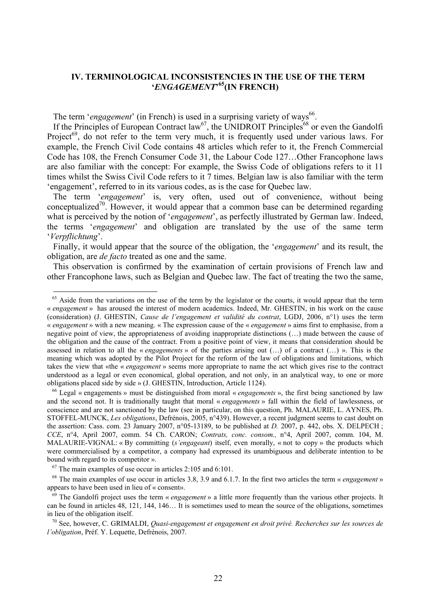## **IV. TERMINOLOGICAL INCONSISTENCIES IN THE USE OF THE TERM '***ENGAGEMENT***' 65(IN FRENCH)**

The term '*engagement*' (in French) is used in a surprising variety of ways<sup>66</sup>.

If the Principles of European Contract  $law^{67}$ , the UNIDROIT Principles<sup>68</sup> or even the Gandolfi Project<sup>69</sup>, do not refer to the term very much, it is frequently used under various laws. For example, the French Civil Code contains 48 articles which refer to it, the French Commercial Code has 108, the French Consumer Code 31, the Labour Code 127…Other Francophone laws are also familiar with the concept: For example, the Swiss Code of obligations refers to it 11 times whilst the Swiss Civil Code refers to it 7 times. Belgian law is also familiar with the term 'engagement', referred to in its various codes, as is the case for Quebec law.

The term '*engagement*' is, very often, used out of convenience, without being conceptualized<sup>70</sup>. However, it would appear that a common base can be determined regarding what is perceived by the notion of '*engagement*', as perfectly illustrated by German law. Indeed, the terms '*engagement*' and obligation are translated by the use of the same term '*Verpflichtung*'.

Finally, it would appear that the source of the obligation, the '*engagement*' and its result, the obligation, are *de facto* treated as one and the same.

This observation is confirmed by the examination of certain provisions of French law and other Francophone laws, such as Belgian and Quebec law. The fact of treating the two the same,

66 Legal « engagements » must be distinguished from moral « *engagements* », the first being sanctioned by law and the second not. It is traditionally taught that moral « *engagements* » fall within the field of lawlessness, or conscience and are not sanctioned by the law (see in particular, on this question, Ph. MALAURIE, L. AYNES, Ph. STOFFEL-MUNCK, *Les obligations*, Defrénois, 2005, n°439). However, a recent judgment seems to cast doubt on the assertion: Cass. com. 23 January 2007, n°05-13189, to be published at *D.* 2007, p. 442, obs. X. DELPECH ; *CCE*, n°4, April 2007, comm. 54 Ch. CARON; *Contrats, conc. consom.,* n°4, April 2007, comm. 104, M. MALAURIE-VIGNAL: « By committing (*s'engageant*) itself, even morally, « not to copy » the products which were commercialised by a competitor, a company had expressed its unambiguous and deliberate intention to be bound with regard to its competitor ».

<sup>&</sup>lt;sup>65</sup> Aside from the variations on the use of the term by the legislator or the courts, it would appear that the term « *engagement* »has aroused the interest of modern academics. Indeed, Mr. GHESTIN, in his work on the cause (consideration) (J. GHESTIN, *Cause de l'engagement et validité du contrat*, LGDJ, 2006, n°1) uses the term « *engagement* » with a new meaning. « The expression cause of the « *engagement* » aims first to emphasise, from a negative point of view, the appropriateness of avoiding inappropriate distinctions (…) made between the cause of the obligation and the cause of the contract. From a positive point of view, it means that consideration should be assessed in relation to all the « *engagements* » of the parties arising out (…) of a contract (…) ». This is the meaning which was adopted by the Pilot Project for the reform of the law of obligations and limitations, which takes the view that «the « *engagement* » seems more appropriate to name the act which gives rise to the contract understood as a legal or even economical, global operation, and not only, in an analytical way, to one or more obligations placed side by side » (J. GHESTIN, Introduction, Article 1124).

<sup>&</sup>lt;sup>67</sup> The main examples of use occur in articles 2:105 and 6:101.<br><sup>68</sup> The main examples of use occur in articles 3.8, 3.9 and 6.1.7. In the first two articles the term « *engagement* » appears to have been used in lieu of « consent».

<sup>69</sup> The Gandolfi project uses the term « *engagement* » a little more frequently than the various other projects. It can be found in articles 48, 121, 144, 146… It is sometimes used to mean the source of the obligations, sometimes in lieu of the obligation itself.

<sup>70</sup> See, however, C. GRIMALDI, *Quasi-engagement et engagement en droit privé. Recherches sur les sources de l'obligation*, Préf. Y. Lequette, Defrénois, 2007.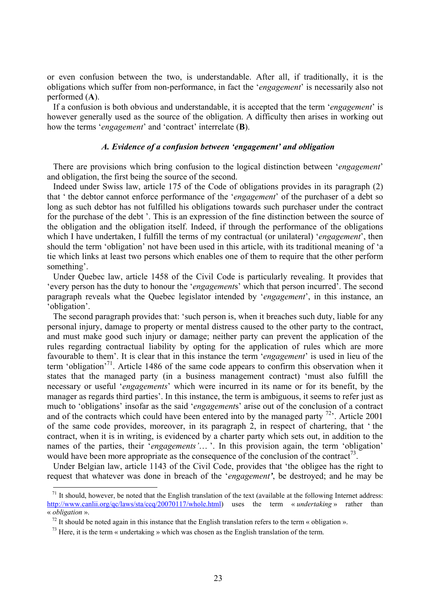or even confusion between the two, is understandable. After all, if traditionally, it is the obligations which suffer from non-performance, in fact the '*engagement*' is necessarily also not performed (**A**).

If a confusion is both obvious and understandable, it is accepted that the term '*engagement*' is however generally used as the source of the obligation. A difficulty then arises in working out how the terms '*engagement*' and 'contract' interrelate (**B**).

## *A. Evidence of a confusion between 'engagement' and obligation*

There are provisions which bring confusion to the logical distinction between '*engagement*' and obligation, the first being the source of the second.

Indeed under Swiss law, article 175 of the Code of obligations provides in its paragraph (2) that ' the debtor cannot enforce performance of the '*engagement*' of the purchaser of a debt so long as such debtor has not fulfilled his obligations towards such purchaser under the contract for the purchase of the debt '. This is an expression of the fine distinction between the source of the obligation and the obligation itself. Indeed, if through the performance of the obligations which I have undertaken, I fulfill the terms of my contractual (or unilateral) '*engagement*', then should the term 'obligation' not have been used in this article, with its traditional meaning of 'a tie which links at least two persons which enables one of them to require that the other perform something'.

Under Quebec law, article 1458 of the Civil Code is particularly revealing. It provides that 'every person has the duty to honour the '*engagement*s' which that person incurred'. The second paragraph reveals what the Quebec legislator intended by '*engagement*', in this instance, an 'obligation'.

The second paragraph provides that: 'such person is, when it breaches such duty, liable for any personal injury, damage to property or mental distress caused to the other party to the contract, and must make good such injury or damage; neither party can prevent the application of the rules regarding contractual liability by opting for the application of rules which are more favourable to them'. It is clear that in this instance the term '*engagement*' is used in lieu of the term 'obligation'71. Article 1486 of the same code appears to confirm this observation when it states that the managed party (in a business management contract) 'must also fulfill the necessary or useful '*engagements*' which were incurred in its name or for its benefit, by the manager as regards third parties'. In this instance, the term is ambiguous, it seems to refer just as much to 'obligations' insofar as the said '*engagement*s' arise out of the conclusion of a contract and of the contracts which could have been entered into by the managed party  $^{72}$ . Article 2001 of the same code provides, moreover, in its paragraph 2, in respect of chartering, that ' the contract, when it is in writing, is evidenced by a charter party which sets out, in addition to the names of the parties, their '*engagements'*… '. In this provision again, the term 'obligation' would have been more appropriate as the consequence of the conclusion of the contract<sup>73</sup>.

Under Belgian law, article 1143 of the Civil Code, provides that 'the obligee has the right to request that whatever was done in breach of the '*engagement'*, be destroyed; and he may be

 $71$  It should, however, be noted that the English translation of the text (available at the following Internet address: http://www.canlii.org/qc/laws/sta/ccq/20070117/whole.html) uses the term « *undertaking* » rather than « *obligation* ».<br><sup>72</sup> It should be noted again in this instance that the English translation refers to the term « obligation ».<br><sup>73</sup> Here, it is the term « undertaking » which was chosen as the English translation of the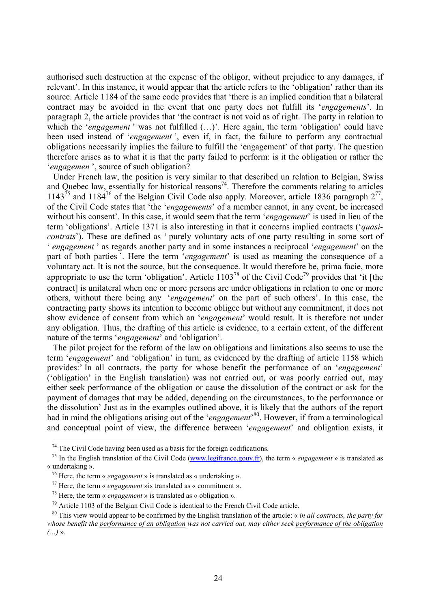authorised such destruction at the expense of the obligor, without prejudice to any damages, if relevant'. In this instance, it would appear that the article refers to the 'obligation' rather than its source. Article 1184 of the same code provides that 'there is an implied condition that a bilateral contract may be avoided in the event that one party does not fulfill its '*engagements*'. In paragraph 2, the article provides that 'the contract is not void as of right. The party in relation to which the *'engagement'* was not fulfilled  $(...)$ . Here again, the term 'obligation' could have been used instead of '*engagement* ', even if, in fact, the failure to perform any contractual obligations necessarily implies the failure to fulfill the 'engagement' of that party. The question therefore arises as to what it is that the party failed to perform: is it the obligation or rather the '*engagemen* ', source of such obligation?

Under French law, the position is very similar to that described un relation to Belgian, Swiss and Quebec law, essentially for historical reasons<sup>74</sup>. Therefore the comments relating to articles  $1143^{75}$  and  $1184^{76}$  of the Belgian Civil Code also apply. Moreover, article 1836 paragraph  $2^{77}$ , of the Civil Code states that 'the '*engagements*' of a member cannot, in any event, be increased without his consent'. In this case, it would seem that the term '*engagement*' is used in lieu of the term 'obligations'. Article 1371 is also interesting in that it concerns implied contracts ('*quasicontrats*'). These are defined as ' purely voluntary acts of one party resulting in some sort of ' *engagement* ' as regards another party and in some instances a reciprocal '*engagement*' on the part of both parties '. Here the term '*engagement*' is used as meaning the consequence of a voluntary act. It is not the source, but the consequence. It would therefore be, prima facie, more appropriate to use the term 'obligation'. Article  $1103^{78}$  of the Civil Code<sup>79</sup> provides that 'it [the contract] is unilateral when one or more persons are under obligations in relation to one or more others, without there being any '*engagement*' on the part of such others'. In this case, the contracting party shows its intention to become obligee but without any commitment, it does not show evidence of consent from which an '*engagement*' would result. It is therefore not under any obligation. Thus, the drafting of this article is evidence, to a certain extent, of the different nature of the terms '*engagement*' and 'obligation'.

The pilot project for the reform of the law on obligations and limitations also seems to use the term '*engagement*' and 'obligation' in turn, as evidenced by the drafting of article 1158 which provides:' In all contracts, the party for whose benefit the performance of an '*engagement*' ('obligation' in the English translation) was not carried out, or was poorly carried out, may either seek performance of the obligation or cause the dissolution of the contract or ask for the payment of damages that may be added, depending on the circumstances, to the performance or the dissolution' Just as in the examples outlined above, it is likely that the authors of the report had in mind the obligations arising out of the '*engagement*' 80. However, if from a terminological and conceptual point of view, the difference between '*engagement*' and obligation exists, it

 $74$  The Civil Code having been used as a basis for the foreign codifications.

<sup>75</sup> In the English translation of the Civil Code (www.legifrance.gouv.fr), the term « *engagement* » is translated as « undertaking ».

<sup>&</sup>lt;sup>76</sup> Here, the term « *engagement* » is translated as « undertaking ».<br>
<sup>77</sup> Here, the term « *engagement* » is translated as « commitment ».<br>
<sup>78</sup> Here, the term « *engagement* » is translated as « obligation ».<br>
<sup>79</sup> Ar *whose benefit the performance of an obligation was not carried out, may either seek performance of the obligation (…)* ».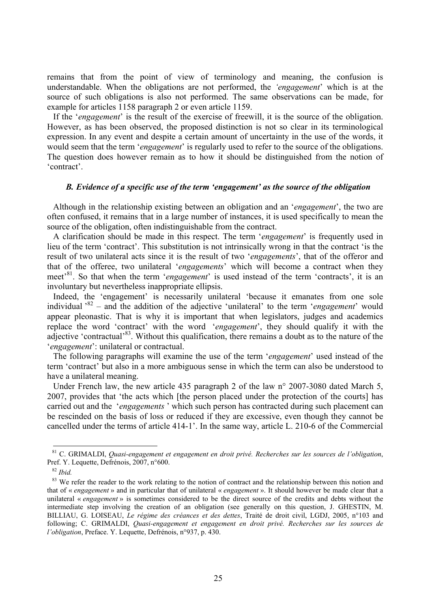remains that from the point of view of terminology and meaning, the confusion is understandable. When the obligations are not performed, the *'engagement*' which is at the source of such obligations is also not performed. The same observations can be made, for example for articles 1158 paragraph 2 or even article 1159.

If the '*engagement*' is the result of the exercise of freewill, it is the source of the obligation. However, as has been observed, the proposed distinction is not so clear in its terminological expression. In any event and despite a certain amount of uncertainty in the use of the words, it would seem that the term '*engagement*' is regularly used to refer to the source of the obligations. The question does however remain as to how it should be distinguished from the notion of 'contract'.

#### *B. Evidence of a specific use of the term 'engagement' as the source of the obligation*

Although in the relationship existing between an obligation and an '*engagement*', the two are often confused, it remains that in a large number of instances, it is used specifically to mean the source of the obligation, often indistinguishable from the contract.

A clarification should be made in this respect. The term '*engagement*' is frequently used in lieu of the term 'contract'. This substitution is not intrinsically wrong in that the contract 'is the result of two unilateral acts since it is the result of two '*engagements*', that of the offeror and that of the offeree, two unilateral '*engagements*' which will become a contract when they meet<sup>81</sup>. So that when the term '*engagement*' is used instead of the term 'contracts', it is an involuntary but nevertheless inappropriate ellipsis.

Indeed, the 'engagement' is necessarily unilateral 'because it emanates from one sole individual '82 – and the addition of the adjective 'unilateral' to the term '*engagement*' would appear pleonastic. That is why it is important that when legislators, judges and academics replace the word 'contract' with the word '*engagement*', they should qualify it with the adjective 'contractual'<sup>83</sup>. Without this qualification, there remains a doubt as to the nature of the '*engagement*': unilateral or contractual.

The following paragraphs will examine the use of the term '*engagement*' used instead of the term 'contract' but also in a more ambiguous sense in which the term can also be understood to have a unilateral meaning.

Under French law, the new article 435 paragraph 2 of the law n° 2007-3080 dated March 5, 2007, provides that 'the acts which [the person placed under the protection of the courts] has carried out and the '*engagements* ' which such person has contracted during such placement can be rescinded on the basis of loss or reduced if they are excessive, even though they cannot be cancelled under the terms of article 414-1'. In the same way, article L. 210-6 of the Commercial

<sup>81</sup> C. GRIMALDI, *Quasi-engagement et engagement en droit privé. Recherches sur les sources de l'obligation*, Pref. Y. Lequette, Defrénois, 2007, n°600.

<sup>82</sup> *Ibid.*

<sup>&</sup>lt;sup>83</sup> We refer the reader to the work relating to the notion of contract and the relationship between this notion and that of « *engagement* » and in particular that of unilateral « *engagement* ». It should however be made clear that a unilateral « *engagement* » is sometimes considered to be the direct source of the credits and debts without the intermediate step involving the creation of an obligation (see generally on this question, J. GHESTIN, M. BILLIAU, G. LOISEAU, *Le régime des créances et des dettes*, Traité de droit civil, LGDJ, 2005, n°103 and following; C. GRIMALDI, *Quasi-engagement et engagement en droit privé. Recherches sur les sources de l'obligation*, Preface. Y. Lequette, Defrénois, n°937, p. 430.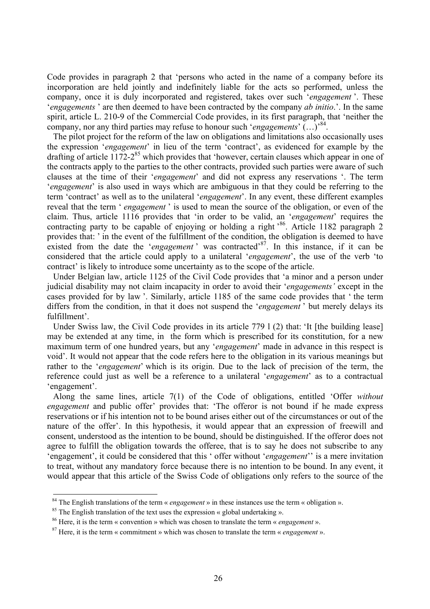Code provides in paragraph 2 that 'persons who acted in the name of a company before its incorporation are held jointly and indefinitely liable for the acts so performed, unless the company, once it is duly incorporated and registered, takes over such '*engagement* '. These '*engagements* ' are then deemed to have been contracted by the company *ab initio*.'. In the same spirit, article L. 210-9 of the Commercial Code provides, in its first paragraph, that 'neither the company, nor any third parties may refuse to honour such '*engagements*' (…)'84.

The pilot project for the reform of the law on obligations and limitations also occasionally uses the expression '*engagement*' in lieu of the term 'contract', as evidenced for example by the drafting of article  $1172-2^{85}$  which provides that 'however, certain clauses which appear in one of the contracts apply to the parties to the other contracts, provided such parties were aware of such clauses at the time of their '*engagement*' and did not express any reservations '. The term '*engagement*' is also used in ways which are ambiguous in that they could be referring to the term 'contract' as well as to the unilateral '*engagement*'. In any event, these different examples reveal that the term ' *engagement* ' is used to mean the source of the obligation, or even of the claim. Thus, article 1116 provides that 'in order to be valid, an '*engagement*' requires the contracting party to be capable of enjoying or holding a right <sup>86</sup>. Article 1182 paragraph 2 provides that: ' in the event of the fulfillment of the condition, the obligation is deemed to have existed from the date the '*engagement*' was contracted'<sup>87</sup>. In this instance, if it can be considered that the article could apply to a unilateral '*engagement*', the use of the verb 'to contract' is likely to introduce some uncertainty as to the scope of the article.

Under Belgian law, article 1125 of the Civil Code provides that 'a minor and a person under judicial disability may not claim incapacity in order to avoid their '*engagements'* except in the cases provided for by law '. Similarly, article 1185 of the same code provides that ' the term differs from the condition, in that it does not suspend the '*engagement* ' but merely delays its fulfillment'.

Under Swiss law, the Civil Code provides in its article 779 l (2) that: 'It [the building lease] may be extended at any time, in the form which is prescribed for its constitution, for a new maximum term of one hundred years, but any '*engagement*' made in advance in this respect is void'. It would not appear that the code refers here to the obligation in its various meanings but rather to the '*engagement*' which is its origin. Due to the lack of precision of the term, the reference could just as well be a reference to a unilateral '*engagement*' as to a contractual 'engagement'.

Along the same lines, article 7(1) of the Code of obligations, entitled 'Offer *without engagement* and public offer' provides that: 'The offeror is not bound if he made express reservations or if his intention not to be bound arises either out of the circumstances or out of the nature of the offer'. In this hypothesis, it would appear that an expression of freewill and consent, understood as the intention to be bound, should be distinguished. If the offeror does not agree to fulfill the obligation towards the offeree, that is to say he does not subscribe to any 'engagement', it could be considered that this ' offer without '*engagement*'' is a mere invitation to treat, without any mandatory force because there is no intention to be bound. In any event, it would appear that this article of the Swiss Code of obligations only refers to the source of the

<sup>&</sup>lt;sup>84</sup> The English translations of the term « *engagement* » in these instances use the term « obligation ».<br><sup>85</sup> The English translation of the text uses the expression « global undertaking ».

<sup>86</sup> Here, it is the term « convention » which was chosen to translate the term « *engagement* ». 87 Here, it is the term « commitment » which was chosen to translate the term « *engagement* ».